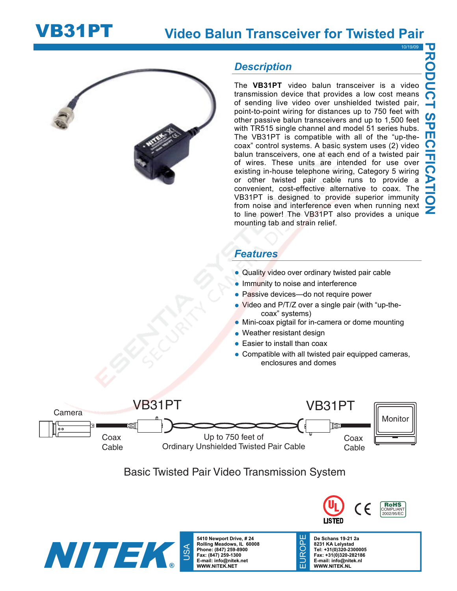



### *Description*

The **VB31PT** video balun transceiver is a video transmission device that provides a low cost means of sending live video over unshielded twisted pair, point-to-point wiring for distances up to 750 feet with other passive balun transceivers and up to 1,500 feet with TR515 single channel and model 51 series hubs. The VB31PT is compatible with all of the "up-thecoax" control systems. A basic system uses (2) video balun transceivers, one at each end of a twisted pair of wires. These units are intended for use over existing in-house telephone wiring, Category 5 wiring or other twisted pair cable runs to provide a convenient, cost-effective alternative to coax. The VB31PT is designed to provide superior immunity from noise and interference even when running next to line power! The VB31PT also provides a unique mounting tab and strain relief.

## *Features*

- Quality video over ordinary twisted pair cable
- Immunity to noise and interference
- Passive devices-do not require power
- Video and P/T/Z over a single pair (with "up-thecoax" systems)
- Mini-coax pigtail for in-camera or dome mounting
- Weather resistant design
- Easier to install than coax
- Compatible with all twisted pair equipped cameras, enclosures and domes



# Basic Twisted Pair Video Transmission System



**5410 Newport Drive, # 24 Rolling Meadows, IL 60008 Phone: (847) 259-8900 Fax: (847) 259-1300 E-mail: info@nitek.net WWW.NITEK.NET** 



**De Schans 19-21 2a 8231 KA Lelystad Tel: +31(0)320-2300005 Fax: +31(0)320-282186 E-mail: info@nitek.nl WWW.NITEK.NL** 

EUROPE

EUROI

꼰

10/19/09